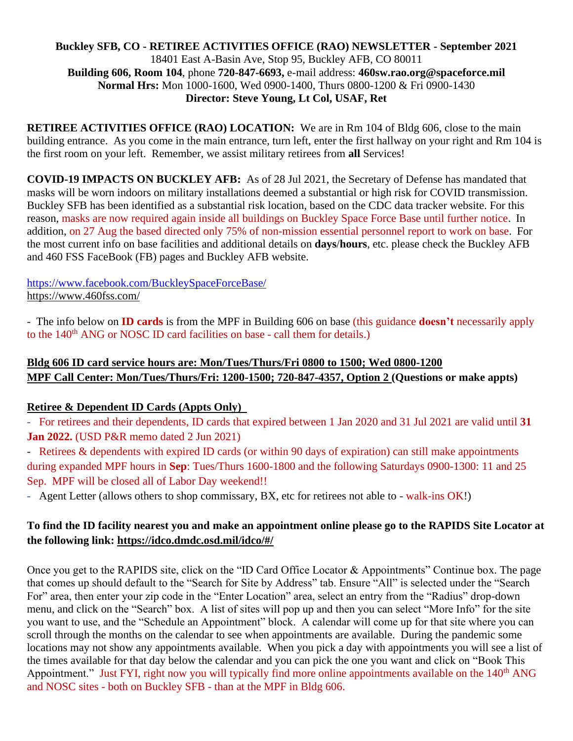#### **Buckley SFB, CO - RETIREE ACTIVITIES OFFICE (RAO) NEWSLETTER - September 2021** 18401 East A-Basin Ave, Stop 95, Buckley AFB, CO 80011 **Building 606, Room 104**, phone **720-847-6693,** e-mail address: **460sw.rao.org@spaceforce.mil Normal Hrs:** Mon 1000-1600, Wed 0900-1400, Thurs 0800-1200 & Fri 0900-1430 **Director: Steve Young, Lt Col, USAF, Ret**

**RETIREE ACTIVITIES OFFICE (RAO) LOCATION:** We are in Rm 104 of Bldg 606, close to the main building entrance. As you come in the main entrance, turn left, enter the first hallway on your right and Rm 104 is the first room on your left. Remember, we assist military retirees from **all** Services!

**COVID-19 IMPACTS ON BUCKLEY AFB:** As of 28 Jul 2021, the Secretary of Defense has mandated that masks will be worn indoors on military installations deemed a substantial or high risk for COVID transmission. Buckley SFB has been identified as a substantial risk location, based on the CDC data tracker website. For this reason, masks are now required again inside all buildings on Buckley Space Force Base until further notice. In addition, on 27 Aug the based directed only 75% of non-mission essential personnel report to work on base. For the most current info on base facilities and additional details on **days**/**hours**, etc. please check the Buckley AFB and 460 FSS FaceBook (FB) pages and Buckley AFB website.

<https://www.facebook.com/BuckleySpaceForceBase/> <https://www.460fss.com/>

- The info below on **ID cards** is from the MPF in Building 606 on base (this guidance **doesn't** necessarily apply to the 140<sup>th</sup> ANG or NOSC ID card facilities on base - call them for details.)

# **Bldg 606 ID card service hours are: Mon/Tues/Thurs/Fri 0800 to 1500; Wed 0800-1200 MPF Call Center: Mon/Tues/Thurs/Fri: 1200-1500; 720-847-4357, Option 2 (Questions or make appts)**

## **Retiree & Dependent ID Cards (Appts Only)**

- For retirees and their dependents, ID cards that expired between 1 Jan 2020 and 31 Jul 2021 are valid until **31 Jan 2022.** (USD P&R memo dated 2 Jun 2021)

- Retirees & dependents with expired ID cards (or within 90 days of expiration) can still make appointments during expanded MPF hours in **Sep**: Tues/Thurs 1600-1800 and the following Saturdays 0900-1300: 11 and 25 Sep. MPF will be closed all of Labor Day weekend!!

- Agent Letter (allows others to shop commissary, BX, etc for retirees not able to - walk-ins OK!)

## **To find the ID facility nearest you and make an appointment online please go to the RAPIDS Site Locator at the following link:<https://idco.dmdc.osd.mil/idco/#/>**

Once you get to the RAPIDS site, click on the "ID Card Office Locator & Appointments" Continue box. The page that comes up should default to the "Search for Site by Address" tab. Ensure "All" is selected under the "Search For" area, then enter your zip code in the "Enter Location" area, select an entry from the "Radius" drop-down menu, and click on the "Search" box. A list of sites will pop up and then you can select "More Info" for the site you want to use, and the "Schedule an Appointment" block. A calendar will come up for that site where you can scroll through the months on the calendar to see when appointments are available. During the pandemic some locations may not show any appointments available. When you pick a day with appointments you will see a list of the times available for that day below the calendar and you can pick the one you want and click on "Book This Appointment." Just FYI, right now you will typically find more online appointments available on the 140<sup>th</sup> ANG and NOSC sites - both on Buckley SFB - than at the MPF in Bldg 606.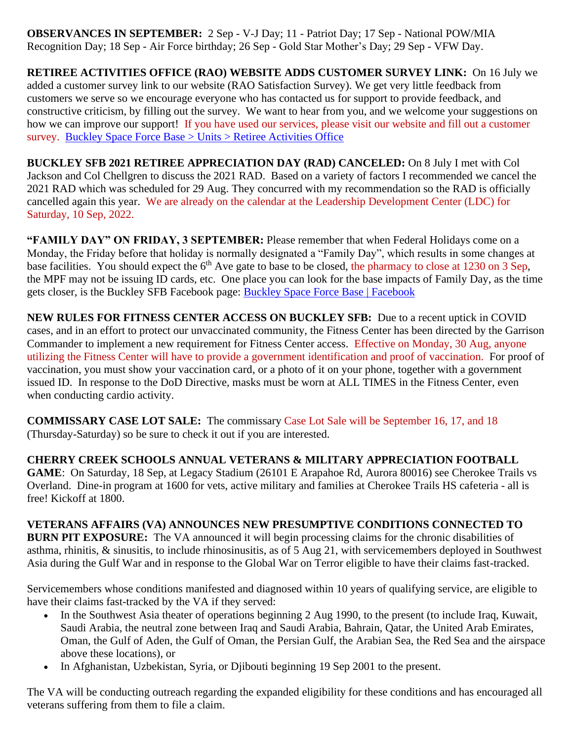**OBSERVANCES IN SEPTEMBER:** 2 Sep - V-J Day; 11 - Patriot Day; 17 Sep - National POW/MIA Recognition Day; 18 Sep - Air Force birthday; 26 Sep - Gold Star Mother's Day; 29 Sep - VFW Day.

**RETIREE ACTIVITIES OFFICE (RAO) WEBSITE ADDS CUSTOMER SURVEY LINK:** On 16 July we added a customer survey link to our website (RAO Satisfaction Survey). We get very little feedback from customers we serve so we encourage everyone who has contacted us for support to provide feedback, and constructive criticism, by filling out the survey. We want to hear from you, and we welcome your suggestions on how we can improve our support! If you have used our services, please visit our website and fill out a customer survey. [Buckley Space Force Base > Units > Retiree Activities Office](https://www.buckley.spaceforce.mil/Units/Retiree-Activities-Office/)

**BUCKLEY SFB 2021 RETIREE APPRECIATION DAY (RAD) CANCELED:** On 8 July I met with Col Jackson and Col Chellgren to discuss the 2021 RAD. Based on a variety of factors I recommended we cancel the 2021 RAD which was scheduled for 29 Aug. They concurred with my recommendation so the RAD is officially cancelled again this year. We are already on the calendar at the Leadership Development Center (LDC) for Saturday, 10 Sep, 2022.

**"FAMILY DAY" ON FRIDAY, 3 SEPTEMBER:** Please remember that when Federal Holidays come on a Monday, the Friday before that holiday is normally designated a "Family Day", which results in some changes at base facilities. You should expect the 6<sup>th</sup> Ave gate to base to be closed, the pharmacy to close at 1230 on 3 Sep, the MPF may not be issuing ID cards, etc. One place you can look for the base impacts of Family Day, as the time gets closer, is the Buckley SFB Facebook page: [Buckley Space Force Base | Facebook](https://www.facebook.com/BuckleySpaceForceBase/)

**NEW RULES FOR FITNESS CENTER ACCESS ON BUCKLEY SFB:** Due to a recent uptick in COVID cases, and in an effort to protect our unvaccinated community, the Fitness Center has been directed by the Garrison Commander to implement a new requirement for Fitness Center access. Effective on Monday, 30 Aug, anyone utilizing the Fitness Center will have to provide a government identification and proof of vaccination. For proof of vaccination, you must show your vaccination card, or a photo of it on your phone, together with a government issued ID. In response to the DoD Directive, masks must be worn at ALL TIMES in the Fitness Center, even when conducting cardio activity.

**COMMISSARY CASE LOT SALE:** The commissary Case Lot Sale will be September 16, 17, and 18 (Thursday-Saturday) so be sure to check it out if you are interested.

**CHERRY CREEK SCHOOLS ANNUAL VETERANS & MILITARY APPRECIATION FOOTBALL GAME**: On Saturday, 18 Sep, at Legacy Stadium (26101 E Arapahoe Rd, Aurora 80016) see Cherokee Trails vs Overland. Dine-in program at 1600 for vets, active military and families at Cherokee Trails HS cafeteria - all is free! Kickoff at 1800.

**VETERANS AFFAIRS (VA) ANNOUNCES NEW PRESUMPTIVE CONDITIONS CONNECTED TO BURN PIT EXPOSURE:** The VA announced it will begin processing claims for the chronic disabilities of asthma, rhinitis, & sinusitis, to include rhinosinusitis, as of 5 Aug 21, with servicemembers deployed in Southwest Asia during the Gulf War and in response to the Global War on Terror eligible to have their claims fast-tracked.

Servicemembers whose conditions manifested and diagnosed within 10 years of qualifying service, are eligible to have their claims fast-tracked by the VA if they served:

- In the Southwest Asia theater of operations beginning 2 Aug 1990, to the present (to include Iraq, Kuwait, Saudi Arabia, the neutral zone between Iraq and Saudi Arabia, Bahrain, Qatar, the United Arab Emirates, Oman, the Gulf of Aden, the Gulf of Oman, the Persian Gulf, the Arabian Sea, the Red Sea and the airspace above these locations), or
- In Afghanistan, Uzbekistan, Syria, or Djibouti beginning 19 Sep 2001 to the present.

The VA will be conducting outreach regarding the expanded eligibility for these conditions and has encouraged all veterans suffering from them to [file a claim.](https://www.moaa.org/content/publications-and-media/news-articles/2020-news-articles/you-ask,-moaa-answers-va-claims/)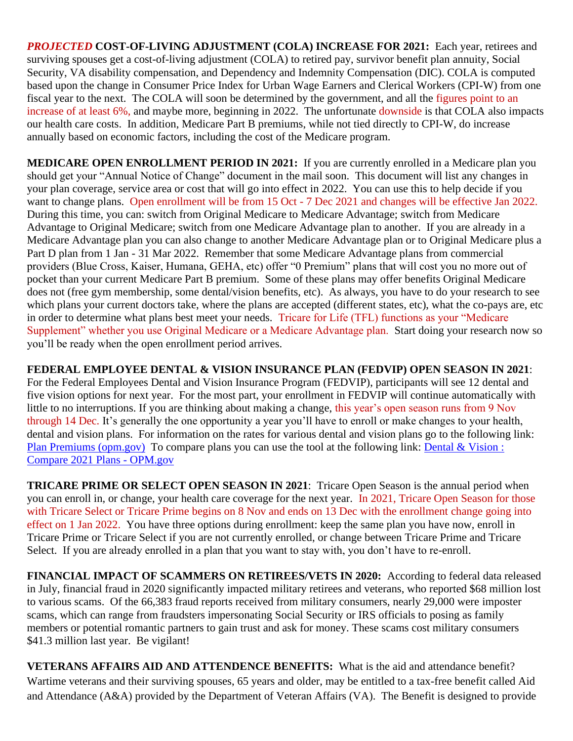*PROJECTED* **COST-OF-LIVING ADJUSTMENT (COLA) INCREASE FOR 2021:** Each year, retirees and surviving spouses get a cost-of-living adjustment (COLA) to retired pay, survivor benefit plan annuity, Social Security, VA disability compensation, and Dependency and Indemnity Compensation (DIC). COLA is computed based upon the change in Consumer Price Index for Urban Wage Earners and Clerical Workers (CPI-W) from one fiscal year to the next. The COLA will soon be determined by the government, and all the figures point to an increase of at least 6%, and maybe more, beginning in 2022. The unfortunate downside is that COLA also impacts our health care costs. In addition, Medicare Part B premiums, while not tied directly to CPI-W, do increase annually based on economic factors, including the cost of the Medicare program.

**MEDICARE OPEN ENROLLMENT PERIOD IN 2021:** If you are currently enrolled in a Medicare plan you should get your "Annual Notice of Change" document in the mail soon. This document will list any changes in your plan coverage, service area or cost that will go into effect in 2022. You can use this to help decide if you want to change plans. Open enrollment will be from 15 Oct - 7 Dec 2021 and changes will be effective Jan 2022. During this time, you can: switch from Original Medicare to Medicare Advantage; switch from Medicare Advantage to Original Medicare; switch from one Medicare Advantage plan to another. If you are already in a Medicare Advantage plan you can also change to another Medicare Advantage plan or to Original Medicare plus a Part D plan from 1 Jan - 31 Mar 2022. Remember that some Medicare Advantage plans from commercial providers (Blue Cross, Kaiser, Humana, GEHA, etc) offer "0 Premium" plans that will cost you no more out of pocket than your current Medicare Part B premium. Some of these plans may offer benefits Original Medicare does not (free gym membership, some dental/vision benefits, etc). As always, you have to do your research to see which plans your current doctors take, where the plans are accepted (different states, etc), what the co-pays are, etc in order to determine what plans best meet your needs. Tricare for Life (TFL) functions as your "Medicare Supplement" whether you use Original Medicare or a Medicare Advantage plan. Start doing your research now so you'll be ready when the open enrollment period arrives.

**FEDERAL EMPLOYEE DENTAL & VISION INSURANCE PLAN (FEDVIP) OPEN SEASON IN 2021**: For the Federal Employees Dental and Vision Insurance Program (FEDVIP), participants will see 12 dental and five vision options for next year. For the most part, your enrollment in FEDVIP will continue automatically with little to no interruptions. If you are thinking about making a change, this year's open season runs from 9 Nov through 14 Dec. It's generally the one opportunity a year you'll have to enroll or make changes to your health, dental and vision plans. For information on the rates for various dental and vision plans go to the following link: [Plan Premiums \(opm.gov\)](https://www.opm.gov/healthcare-insurance/dental-vision/plan-information/plan-premiums/) To compare plans you can use the tool at the following link: Dental & Vision : [Compare 2021 Plans -](https://www.opm.gov/healthcare-insurance/healthcare/plan-information/compare-plans/fedvip) OPM.gov

**TRICARE PRIME OR SELECT OPEN SEASON IN 2021**: Tricare Open Season is the annual period when you can enroll in, or change, your health care coverage for the next year. In 2021, Tricare Open Season for those with Tricare Select or Tricare Prime begins on 8 Nov and ends on 13 Dec with the enrollment change going into effect on 1 Jan 2022. You have three options during enrollment: keep the same plan you have now, enroll in Tricare Prime or Tricare Select if you are not currently enrolled, or change between Tricare Prime and Tricare Select. If you are already enrolled in a plan that you want to stay with, you don't have to re-enroll.

**FINANCIAL IMPACT OF SCAMMERS ON RETIREES/VETS IN 2020:** According to federal data released in July, financial fraud in 2020 significantly impacted military retirees and veterans, who reported \$68 million lost to various scams. Of the 66,383 fraud reports received from military consumers, nearly 29,000 were [imposter](https://www.consumer.ftc.gov/features/feature-0037-imposter-scams)  [scams,](https://www.consumer.ftc.gov/features/feature-0037-imposter-scams) which can range from fraudsters impersonating Social Security or IRS officials to posing as family members or potential romantic partners to gain trust and ask for money. These scams cost military consumers \$41.3 million last year. Be vigilant!

**VETERANS AFFAIRS AID AND ATTENDENCE BENEFITS:** What is the aid and attendance benefit? Wartime veterans and their surviving spouses, 65 years and older, may be entitled to a tax-free benefit called Aid and Attendance (A&A) provided by the Department of Veteran Affairs (VA). The Benefit is designed to provide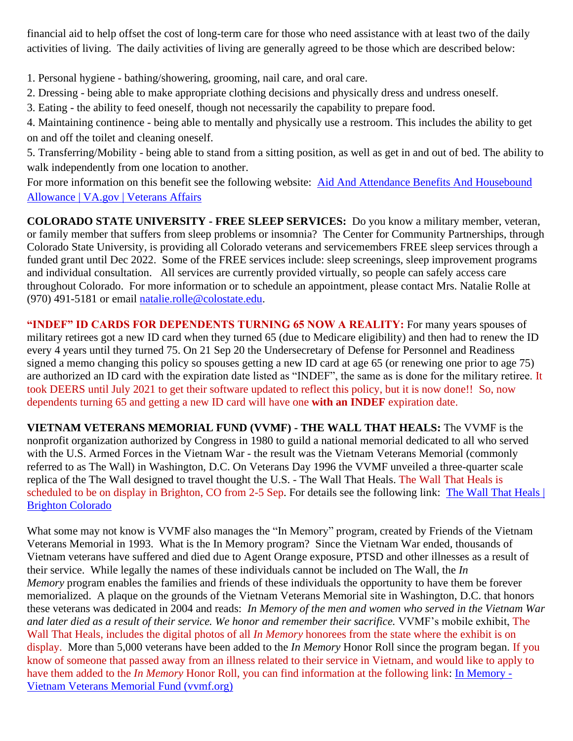financial aid to help offset the cost of long-term care for those who need assistance with at least two of the daily activities of living. The daily activities of living are generally agreed to be those which are described below:

1. Personal hygiene - bathing/showering, grooming, nail care, and oral care.

- 2. Dressing being able to make appropriate clothing decisions and physically dress and undress oneself.
- 3. Eating the ability to feed oneself, though not necessarily the capability to prepare food.
- 4. Maintaining continence being able to mentally and physically use a restroom. This includes the ability to get on and off the toilet and cleaning oneself.

5. Transferring/Mobility - being able to stand from a sitting position, as well as get in and out of bed. The ability to walk independently from one location to another.

For more information on this benefit see the following website: [Aid And Attendance Benefits And Housebound](https://www.va.gov/pension/aid-attendance-housebound/)  [Allowance | VA.gov | Veterans Affairs](https://www.va.gov/pension/aid-attendance-housebound/)

**COLORADO STATE UNIVERSITY - FREE SLEEP SERVICES:** Do you know a military member, veteran, or family member that suffers from sleep problems or insomnia? The Center for Community Partnerships, through Colorado State University, is providing all Colorado veterans and servicemembers FREE sleep services through a funded grant until Dec 2022. Some of the FREE services include: sleep screenings, sleep improvement programs and individual consultation. All services are currently provided virtually, so people can safely access care throughout Colorado. For more information or to schedule an appointment, please contact Mrs. Natalie Rolle at (970) 491-5181 or email [natalie.rolle@colostate.edu.](mailto:natalie.rolle@colostate.edu)

**"INDEF" ID CARDS FOR DEPENDENTS TURNING 65 NOW A REALITY:** For many years spouses of military retirees got a new ID card when they turned 65 (due to Medicare eligibility) and then had to renew the ID every 4 years until they turned 75. On 21 Sep 20 the Undersecretary of Defense for Personnel and Readiness signed a memo changing this policy so spouses getting a new ID card at age 65 (or renewing one prior to age 75) are authorized an ID card with the expiration date listed as "INDEF", the same as is done for the military retiree. It took DEERS until July 2021 to get their software updated to reflect this policy, but it is now done!! So, now dependents turning 65 and getting a new ID card will have one **with an INDEF** expiration date.

**VIETNAM VETERANS MEMORIAL FUND (VVMF) - THE WALL THAT HEALS:** The VVMF is the nonprofit organization authorized by Congress in 1980 to guild a national memorial dedicated to all who served with the U.S. Armed Forces in the Vietnam War - the result was the Vietnam Veterans Memorial (commonly referred to as The Wall) in Washington, D.C. On Veterans Day 1996 the VVMF unveiled a three-quarter scale replica of the The Wall designed to travel thought the U.S. - The Wall That Heals. The Wall That Heals is scheduled to be on display in Brighton, CO from 2-5 Sep. For details see the following link: The Wall That Heals | [Brighton Colorado](https://www.brightonco.gov/1583/The-Wall-That-Heals)

What some may not know is VVMF also manages the "In Memory" program, created by Friends of the Vietnam Veterans Memorial in 1993. What is the In Memory program? Since the Vietnam War ended, thousands of Vietnam veterans have suffered and died due to Agent Orange exposure, PTSD and other illnesses as a result of their service. While legally the names of these individuals cannot be included on The Wall, the *In Memory* program enables the families and friends of these individuals the opportunity to have them be forever memorialized. A plaque on the grounds of the Vietnam Veterans Memorial site in Washington, D.C. that honors these veterans was dedicated in 2004 and reads: *In Memory of the men and women who served in the Vietnam War and later died as a result of their service. We honor and remember their sacrifice.* VVMF's mobile exhibit, [The](https://www.vvmf.org/The-Wall-That-Heals/)  [Wall That Heals,](https://www.vvmf.org/The-Wall-That-Heals/) includes the digital photos of all *In Memory* honorees from the state where the exhibit is on display. More than 5,000 veterans have been added to the *In Memory* Honor Roll since the program began. If you know of someone that passed away from an illness related to their service in Vietnam, and would like to apply to have them added to the *In Memory* Honor Roll, you can find information at the following link: [In Memory -](https://www.vvmf.org/In-Memory-Program/) [Vietnam Veterans Memorial Fund \(vvmf.org\)](https://www.vvmf.org/In-Memory-Program/)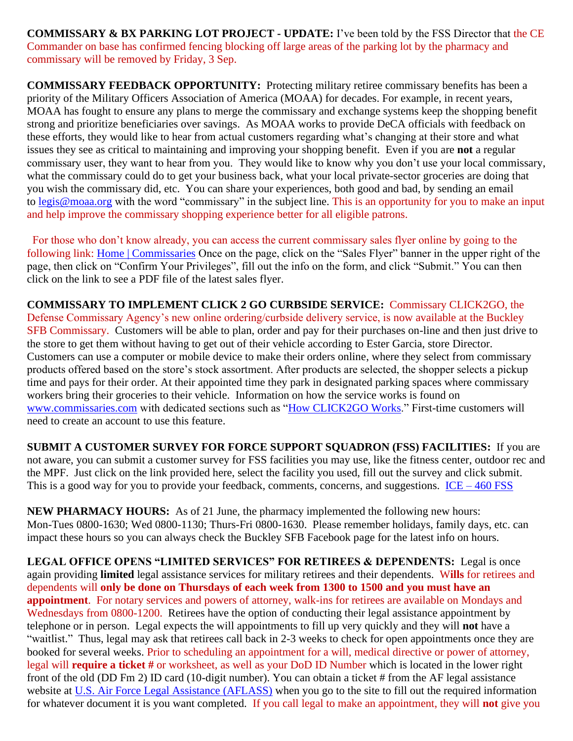**COMMISSARY & BX PARKING LOT PROJECT - UPDATE:** I've been told by the FSS Director that the CE Commander on base has confirmed fencing blocking off large areas of the parking lot by the pharmacy and commissary will be removed by Friday, 3 Sep.

**COMMISSARY FEEDBACK OPPORTUNITY:** Protecting military retiree commissary benefits has been a priority of the Military Officers Association of America (MOAA) for decades. For example, in recent years, MOAA has fought to ensure any plans to merge the commissary and exchange systems keep the shopping benefit strong and prioritize beneficiaries over savings. As MOAA works to provide DeCA officials with feedback on these efforts, they would like to hear from actual customers regarding what's changing at their store and what issues they see as critical to maintaining and improving your shopping benefit. Even if you are **not** a regular commissary user, they want to hear from you. They would like to know why you don't use your local commissary, what the commissary could do to get your business back, what your local private-sector groceries are doing that you wish the commissary did, etc. You can share your experiences, both good and bad, by sending an email to [legis@moaa.org](mailto:legis@moaa.org?subject=Commissary) with the word "commissary" in the subject line. This is an opportunity for you to make an input and help improve the commissary shopping experience better for all eligible patrons.

 For those who don't know already, you can access the current commissary sales flyer online by going to the following link: [Home | Commissaries](https://www.commissaries.com/) Once on the page, click on the "Sales Flyer" banner in the upper right of the page, then click on "Confirm Your Privileges", fill out the info on the form, and click "Submit." You can then click on the link to see a PDF file of the latest sales flyer.

**COMMISSARY TO IMPLEMENT CLICK 2 GO CURBSIDE SERVICE:** Commissary CLICK2GO, the Defense Commissary Agency's new online ordering/curbside delivery service, is now available at the Buckley SFB Commissary. Customers will be able to plan, order and pay for their purchases on-line and then just drive to the store to get them without having to get out of their vehicle according to Ester Garcia, store Director. Customers can use a computer or mobile device to make their orders online, where they select from commissary products offered based on the store's stock assortment. After products are selected, the shopper selects a pickup time and pays for their order. At their appointed time they park in designated parking spaces where commissary workers bring their groceries to their vehicle. Information on how the service works is found on [www.commissaries.com](http://www.commissaries.com/) with dedicated sections such as ["How CLICK2GO Works.](https://commissaries.com/how-CLICK2GO-works)" First-time customers will need to create an account to use this feature.

**SUBMIT A CUSTOMER SURVEY FOR FORCE SUPPORT SQUADRON (FSS) FACILITIES:** If you are not aware, you can submit a customer survey for FSS facilities you may use, like the fitness center, outdoor rec and the MPF. Just click on the link provided here, select the facility you used, fill out the survey and click submit. This is a good way for you to provide your feedback, comments, concerns, and suggestions.  $ICE - 460 FSS$  $ICE - 460 FSS$ 

**NEW PHARMACY HOURS:** As of 21 June, the pharmacy implemented the following new hours: Mon-Tues 0800-1630; Wed 0800-1130; Thurs-Fri 0800-1630. Please remember holidays, family days, etc. can impact these hours so you can always check the Buckley SFB Facebook page for the latest info on hours.

**LEGAL OFFICE OPENS "LIMITED SERVICES" FOR RETIREES & DEPENDENTS:** Legal is once again providing **limited** legal assistance services for military retirees and their dependents. W**ills** for retirees and dependents will **only be done on Thursdays of each week from 1300 to 1500 and you must have an appointment**. For notary services and powers of attorney, walk-ins for retirees are available on Mondays and Wednesdays from 0800-1200. Retirees have the option of conducting their legal assistance appointment by telephone or in person. Legal expects the will appointments to fill up very quickly and they will **not** have a "waitlist." Thus, legal may ask that retirees call back in 2-3 weeks to check for open appointments once they are booked for several weeks. Prior to scheduling an appointment for a will, medical directive or power of attorney, legal will **require a ticket #** or worksheet, as well as your DoD ID Number which is located in the lower right front of the old (DD Fm 2) ID card (10-digit number). You can obtain a ticket # from the AF legal assistance website at [U.S. Air Force Legal Assistance \(AFLASS\)](https://aflegalassistance.law.af.mil/lass/lass.html) when you go to the site to fill out the required information for whatever document it is you want completed. If you call legal to make an appointment, they will **not** give you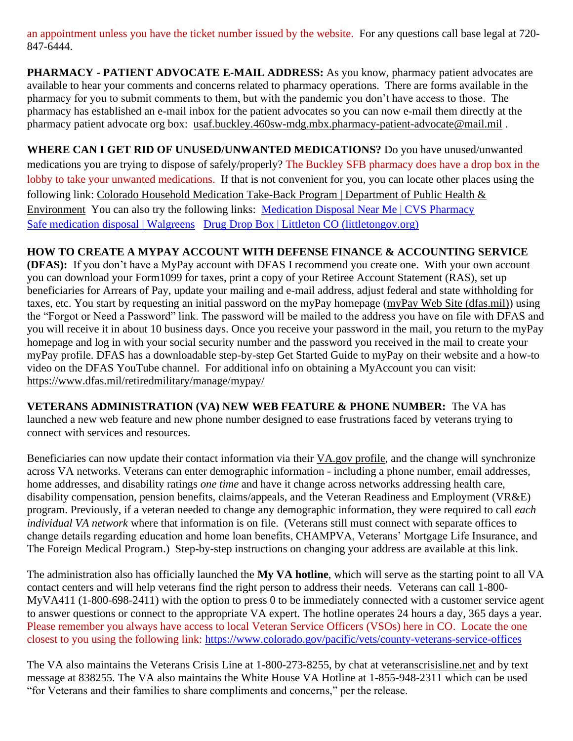an appointment unless you have the ticket number issued by the website. For any questions call base legal at 720- 847-6444.

**PHARMACY - PATIENT ADVOCATE E-MAIL ADDRESS:** As you know, pharmacy patient advocates are available to hear your comments and concerns related to pharmacy operations. There are forms available in the pharmacy for you to submit comments to them, but with the pandemic you don't have access to those. The pharmacy has established an e-mail inbox for the patient advocates so you can now e-mail them directly at the pharmacy patient advocate org box: [usaf.buckley.460sw-mdg.mbx.pharmacy-patient-advocate@mail.mil](mailto:usaf.buckley.460sw-mdg.mbx.pharmacy-patient-advocate@mail.mil) .

**WHERE CAN I GET RID OF UNUSED/UNWANTED MEDICATIONS?** Do you have unused/unwanted medications you are trying to dispose of safely/properly? The Buckley SFB pharmacy does have a drop box in the lobby to take your unwanted medications. If that is not convenient for you, you can locate other places using the following link: [Colorado Household Medication Take-Back Program | Department of Public Health &](https://cdphe.colorado.gov/colorado-medication-take-back-program)  [Environment](https://cdphe.colorado.gov/colorado-medication-take-back-program) You can also try the following links: [Medication Disposal Near Me | CVS Pharmacy](https://www.cvs.com/content/safer-communities-locate) [Safe medication disposal | Walgreens](https://www.walgreens.com/topic/pharmacy/safe-medication-disposal.jsp) [Drug Drop Box | Littleton CO \(littletongov.org\)](https://www.littletongov.org/city-services/city-departments/police-department/programs-services/drug-drop-box)

## **HOW TO CREATE A MYPAY ACCOUNT WITH DEFENSE FINANCE & ACCOUNTING SERVICE**

**(DFAS):** If you don't have a MyPay account with DFAS I recommend you create one. With your own account you can download your Form1099 for taxes, print a copy of your Retiree Account Statement (RAS), set up beneficiaries for Arrears of Pay, update your mailing and e-mail address, adjust federal and state withholding for taxes, etc. You start by requesting an initial password on the myPay homepage [\(myPay Web Site \(dfas.mil\)\)](https://mypay.dfas.mil/#/) using the "Forgot or Need a Password" link. The password will be mailed to the address you have on file with DFAS and you will receive it in about 10 business days. Once you receive your password in the mail, you return to the myPay homepage and log in with your social security number and the password you received in the mail to create your myPay profile. DFAS has a downloadable step-by-step Get Started Guide to myPay on their website and a how-to video on the DFAS YouTube channel. For additional info on obtaining a MyAccount you can visit: <https://www.dfas.mil/retiredmilitary/manage/mypay/>

**VETERANS ADMINISTRATION (VA) NEW WEB FEATURE & PHONE NUMBER:** The VA has launched a new web feature and new phone number designed to ease frustrations faced by veterans trying to connect with services and resources.

Beneficiaries can now update their contact information via their [VA.gov](https://www.va.gov/change-address/) profile, and the change will synchronize across VA networks. Veterans can enter demographic information - including a phone number, email addresses, home addresses, and disability ratings *one time* and have it change across networks addressing health care, disability compensation, pension benefits, claims/appeals, and the Veteran Readiness and Employment (VR&E) program. Previously, if a veteran needed to change any demographic information, they were required to call *each individual VA network* where that information is on file. (Veterans still must connect with separate offices to change details regarding education and home loan benefits, CHAMPVA, Veterans' Mortgage Life Insurance, and The Foreign Medical Program.) Step-by-step instructions on changing your address are available at this [link.](https://www.va.gov/change-address/)

The administration also has officially launched the **My VA hotline**, which will serve as the starting point to all VA contact centers and will help veterans find the right person to address their needs. Veterans can call 1-800- MyVA411 (1-800-698-2411) with the option to press 0 to be immediately connected with a customer service agent to answer questions or connect to the appropriate VA expert. The hotline operates 24 hours a day, 365 days a year. Please remember you always have access to local Veteran Service Officers (VSOs) here in CO. Locate the one closest to you using the following link:<https://www.colorado.gov/pacific/vets/county-veterans-service-offices>

The VA also maintains the Veterans Crisis Line at 1-800-273-8255, by chat at [veteranscrisisline.net](https://www.va.gov/opa/pressrel/pressrelease.cfm?id=5588) and by text message at 838255. The VA also maintains the White House VA Hotline at 1-855-948-2311 which can be used "for Veterans and their families to share compliments and concerns," per the release.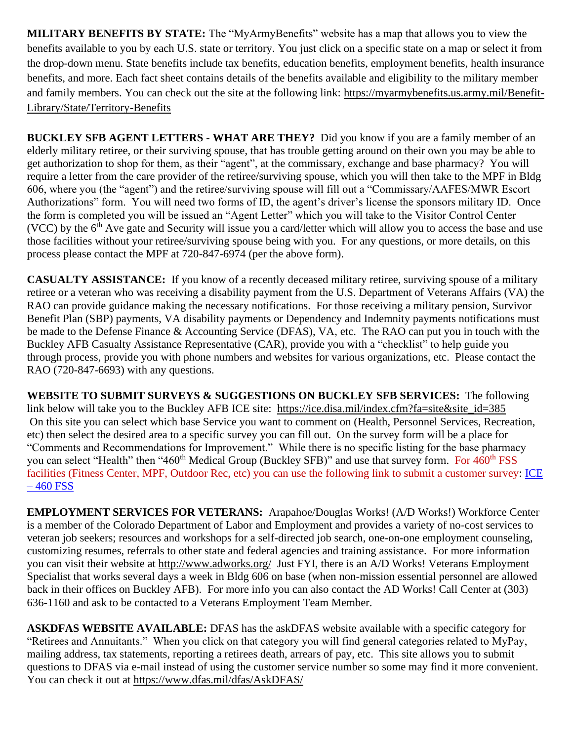**MILITARY BENEFITS BY STATE:** The "MyArmyBenefits" website has a map that allows you to view the benefits available to you by each U.S. state or territory. You just click on a specific state on a map or select it from the drop-down menu. State benefits include tax benefits, education benefits, employment benefits, health insurance benefits, and more. Each fact sheet contains details of the benefits available and eligibility to the military member and family members. You can check out the site at the following link: [https://myarmybenefits.us.army.mil/Benefit-](https://myarmybenefits.us.army.mil/Benefit-Library/State/Territory-Benefits)[Library/State/Territory-Benefits](https://myarmybenefits.us.army.mil/Benefit-Library/State/Territory-Benefits)

**BUCKLEY SFB AGENT LETTERS - WHAT ARE THEY?** Did you know if you are a family member of an elderly military retiree, or their surviving spouse, that has trouble getting around on their own you may be able to get authorization to shop for them, as their "agent", at the commissary, exchange and base pharmacy? You will require a letter from the care provider of the retiree/surviving spouse, which you will then take to the MPF in Bldg 606, where you (the "agent") and the retiree/surviving spouse will fill out a "Commissary/AAFES/MWR Escort Authorizations" form. You will need two forms of ID, the agent's driver's license the sponsors military ID. Once the form is completed you will be issued an "Agent Letter" which you will take to the Visitor Control Center (VCC) by the  $6<sup>th</sup>$  Ave gate and Security will issue you a card/letter which will allow you to access the base and use those facilities without your retiree/surviving spouse being with you. For any questions, or more details, on this process please contact the MPF at 720-847-6974 (per the above form).

**CASUALTY ASSISTANCE:** If you know of a recently deceased military retiree, surviving spouse of a military retiree or a veteran who was receiving a disability payment from the U.S. Department of Veterans Affairs (VA) the RAO can provide guidance making the necessary notifications. For those receiving a military pension, Survivor Benefit Plan (SBP) payments, VA disability payments or Dependency and Indemnity payments notifications must be made to the Defense Finance & Accounting Service (DFAS), VA, etc. The RAO can put you in touch with the Buckley AFB Casualty Assistance Representative (CAR), provide you with a "checklist" to help guide you through process, provide you with phone numbers and websites for various organizations, etc. Please contact the RAO (720-847-6693) with any questions.

**WEBSITE TO SUBMIT SURVEYS & SUGGESTIONS ON BUCKLEY SFB SERVICES:** The following link below will take you to the Buckley AFB ICE site: [https://ice.disa.mil/index.cfm?fa=site&site\\_id=385](https://ice.disa.mil/index.cfm?fa=site&site_id=385) On this site you can select which base Service you want to comment on (Health, Personnel Services, Recreation, etc) then select the desired area to a specific survey you can fill out. On the survey form will be a place for "Comments and Recommendations for Improvement." While there is no specific listing for the base pharmacy you can select "Health" then "460<sup>th</sup> Medical Group (Buckley SFB)" and use that survey form. For 460<sup>th</sup> FSS facilities (Fitness Center, MPF, Outdoor Rec, etc) you can use the following link to submit a customer survey: [ICE](https://www.460fss.com/ice/)   $-460$  FSS

**EMPLOYMENT SERVICES FOR VETERANS:** Arapahoe/Douglas Works! (A/D Works!) Workforce Center is a member of the Colorado Department of Labor and Employment and provides a variety of no-cost services to veteran job seekers; resources and workshops for a self-directed job search, one-on-one employment counseling, customizing resumes, referrals to other state and federal agencies and training assistance. For more information you can visit their website at<http://www.adworks.org/>Just FYI, there is an A/D Works! Veterans Employment Specialist that works several days a week in Bldg 606 on base (when non-mission essential personnel are allowed back in their offices on Buckley AFB). For more info you can also contact the AD Works! Call Center at (303) 636-1160 and ask to be contacted to a Veterans Employment Team Member.

**ASKDFAS WEBSITE AVAILABLE:** DFAS has the askDFAS website available with a specific category for "Retirees and Annuitants." When you click on that category you will find general categories related to MyPay, mailing address, tax statements, reporting a retirees death, arrears of pay, etc. This site allows you to submit questions to DFAS via e-mail instead of using the customer service number so some may find it more convenient. You can check it out at<https://www.dfas.mil/dfas/AskDFAS/>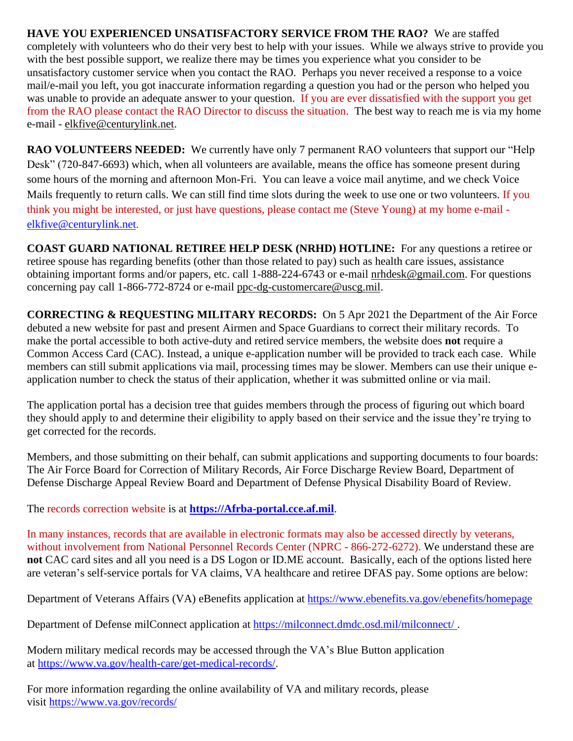**HAVE YOU EXPERIENCED UNSATISFACTORY SERVICE FROM THE RAO?** We are staffed completely with volunteers who do their very best to help with your issues. While we always strive to provide you with the best possible support, we realize there may be times you experience what you consider to be unsatisfactory customer service when you contact the RAO. Perhaps you never received a response to a voice mail/e-mail you left, you got inaccurate information regarding a question you had or the person who helped you was unable to provide an adequate answer to your question. If you are ever dissatisfied with the support you get from the RAO please contact the RAO Director to discuss the situation. The best way to reach me is via my home e-mail - [elkfive@centurylink.net.](mailto:elkfive@centurylink.net)

**RAO VOLUNTEERS NEEDED:** We currently have only 7 permanent RAO volunteers that support our "Help" Desk" (720-847-6693) which, when all volunteers are available, means the office has someone present during some hours of the morning and afternoon Mon-Fri. You can leave a voice mail anytime, and we check Voice Mails frequently to return calls. We can still find time slots during the week to use one or two volunteers. If you think you might be interested, or just have questions, please contact me (Steve Young) at my home e-mail [elkfive@centurylink.net.](mailto:elkfive@centurylink.net)

**COAST GUARD NATIONAL RETIREE HELP DESK (NRHD) HOTLINE:** For any questions a retiree or retiree spouse has regarding benefits (other than those related to pay) such as health care issues, assistance obtaining important forms and/or papers, etc. call 1-888-224-6743 or e-mail [nrhdesk@gmail.com.](mailto:nrhdesk@gmail.com) For questions concerning pay call 1-866-772-8724 or e-mail [ppc-dg-customercare@uscg.mil.](mailto:ppc-dg-customercare@uscg.mil)

**CORRECTING & REQUESTING MILITARY RECORDS:** On 5 Apr 2021 the Department of the Air Force debuted a new website for past and present Airmen and Space Guardians to correct their military records. To make the portal accessible to both active-duty and retired service members, the website does **not** require a Common Access Card (CAC). Instead, a unique e-application number will be provided to track each case. While members can still submit applications via mail, processing times may be slower. Members can use their unique eapplication number to check the status of their application, whether it was submitted online or via mail.

The application portal has a decision tree that guides members through the process of figuring out which board they should apply to and determine their eligibility to apply based on their service and the issue they're trying to get corrected for the records.

Members, and those submitting on their behalf, can submit applications and supporting documents to four boards: The Air Force Board for Correction of Military Records, Air Force Discharge Review Board, Department of Defense Discharge Appeal Review Board and Department of Defense Physical Disability Board of Review.

The records correction website is at **[https://Afrba-portal.cce.af.mil](https://afrba-portal.cce.af.mil/)**.

In many instances, records that are available in electronic formats may also be accessed directly by veterans, without involvement from National Personnel Records Center (NPRC - 866-272-6272). We understand these are **not** CAC card sites and all you need is a DS Logon or ID.ME account. Basically, each of the options listed here are veteran's self-service portals for VA claims, VA healthcare and retiree DFAS pay. Some options are below:

Department of Veterans Affairs (VA) eBenefits application at [https://www.ebenefits.va.gov/ebenefits/homepage](https://gcc02.safelinks.protection.outlook.com/?url=https%3A%2F%2Fwww.ebenefits.va.gov%2Febenefits%2Fhomepage&data=04%7C01%7CJMedina%40arapahoegov.com%7C4ba6a9bb0f614d20689d08d8f4881a52%7C57d7b626d71d47f684c1c43bda19ba16%7C1%7C0%7C637528212705904594%7CUnknown%7CTWFpbGZsb3d8eyJWIjoiMC4wLjAwMDAiLCJQIjoiV2luMzIiLCJBTiI6Ik1haWwiLCJXVCI6Mn0%3D%7C1000&sdata=hXw9dmDwVyyfMT6CLAKjNC7ErxQaRPjSNwpBd6NAZQE%3D&reserved=0)

Department of Defense milConnect application at [https://milconnect.dmdc.osd.mil/milconnect/](https://gcc02.safelinks.protection.outlook.com/?url=https%3A%2F%2Fmilconnect.dmdc.osd.mil%2Fmilconnect%2F&data=04%7C01%7CJMedina%40arapahoegov.com%7C4ba6a9bb0f614d20689d08d8f4881a52%7C57d7b626d71d47f684c1c43bda19ba16%7C1%7C0%7C637528212705914549%7CUnknown%7CTWFpbGZsb3d8eyJWIjoiMC4wLjAwMDAiLCJQIjoiV2luMzIiLCJBTiI6Ik1haWwiLCJXVCI6Mn0%3D%7C1000&sdata=Eov1Utj64StS5R1dMb%2F4BZh07Y6ue08qLBwOJlppgzs%3D&reserved=0) .

Modern military medical records may be accessed through the VA's Blue Button application at [https://www.va.gov/health-care/get-medical-records/.](https://gcc02.safelinks.protection.outlook.com/?url=https%3A%2F%2Fwww.va.gov%2Fhealth-care%2Fget-medical-records%2F&data=04%7C01%7CJMedina%40arapahoegov.com%7C4ba6a9bb0f614d20689d08d8f4881a52%7C57d7b626d71d47f684c1c43bda19ba16%7C1%7C0%7C637528212705914549%7CUnknown%7CTWFpbGZsb3d8eyJWIjoiMC4wLjAwMDAiLCJQIjoiV2luMzIiLCJBTiI6Ik1haWwiLCJXVCI6Mn0%3D%7C1000&sdata=ZscT%2FLEpaJZRPKyOrDzvuwAjP4QuxW2MrNoew0X87%2BU%3D&reserved=0)

For more information regarding the online availability of VA and military records, please visit [https://www.va.gov/records/](https://gcc02.safelinks.protection.outlook.com/?url=https%3A%2F%2Fwww.va.gov%2Frecords%2F&data=04%7C01%7CJMedina%40arapahoegov.com%7C4ba6a9bb0f614d20689d08d8f4881a52%7C57d7b626d71d47f684c1c43bda19ba16%7C1%7C0%7C637528212705914549%7CUnknown%7CTWFpbGZsb3d8eyJWIjoiMC4wLjAwMDAiLCJQIjoiV2luMzIiLCJBTiI6Ik1haWwiLCJXVCI6Mn0%3D%7C1000&sdata=T26BlYnzbcJfnkz0lJD8hvNO988S%2BhMVRIXbJfmmpbA%3D&reserved=0)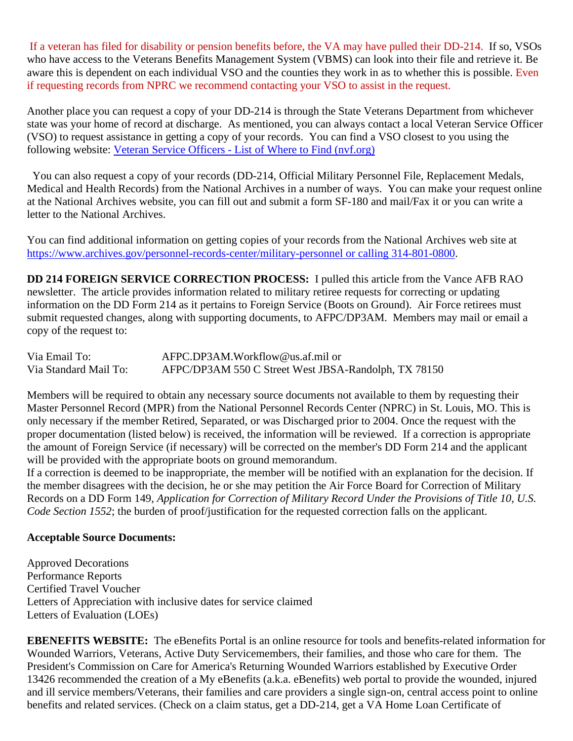If a veteran has filed for disability or pension benefits before, the VA may have pulled their DD-214. If so, VSOs who have access to the Veterans Benefits Management System (VBMS) can look into their file and retrieve it. Be aware this is dependent on each individual VSO and the counties they work in as to whether this is possible. Even if requesting records from NPRC we recommend contacting your VSO to assist in the request.

Another place you can request a copy of your DD-214 is through the State Veterans Department from whichever state was your home of record at discharge. As mentioned, you can always contact a local Veteran Service Officer (VSO) to request assistance in getting a copy of your records. You can find a VSO closest to you using the following website: Veteran Service Officers - List of Where to Find [\(nvf.org\)](https://nvf.org/veteran-service-officers/)

 You can also request a copy of your records (DD-214, Official Military Personnel File, Replacement Medals, Medical and Health Records) from the National Archives in a number of ways. You can make your request online at the National Archives website, you can fill out and submit a form SF-180 and mail/Fax it or you can write a letter to the National Archives.

You can find additional information on getting copies of your records from the National Archives web site at [https://www.archives.gov/personnel-records-center/military-personnel](https://www.archives.gov/personnel-records-center/military-personnel%20or%20calling%20314-801-0800) or calling 314-801-0800.

**DD 214 FOREIGN SERVICE CORRECTION PROCESS:** I pulled this article from the Vance AFB RAO newsletter. The article provides information related to military retiree requests for correcting or updating information on the DD Form 214 as it pertains to Foreign Service (Boots on Ground). Air Force retirees must submit requested changes, along with supporting documents, to AFPC/DP3AM. Members may mail or email a copy of the request to:

| Via Email To:         | AFPC.DP3AM.Workflow@us.af.mil or                     |
|-----------------------|------------------------------------------------------|
| Via Standard Mail To: | AFPC/DP3AM 550 C Street West JBSA-Randolph, TX 78150 |

Members will be required to obtain any necessary source documents not available to them by requesting their Master Personnel Record (MPR) from the National Personnel Records Center (NPRC) in St. Louis, MO. This is only necessary if the member Retired, Separated, or was Discharged prior to 2004. Once the request with the proper documentation (listed below) is received, the information will be reviewed. If a correction is appropriate the amount of Foreign Service (if necessary) will be corrected on the member's DD Form 214 and the applicant will be provided with the appropriate boots on ground memorandum.

If a correction is deemed to be inappropriate, the member will be notified with an explanation for the decision. If the member disagrees with the decision, he or she may petition the Air Force Board for Correction of Military Records on a DD Form 149, *Application for Correction of Military Record Under the Provisions of Title 10, U.S. Code Section 1552*; the burden of proof/justification for the requested correction falls on the applicant.

#### **Acceptable Source Documents:**

Approved Decorations Performance Reports Certified Travel Voucher Letters of Appreciation with inclusive dates for service claimed Letters of Evaluation (LOEs)

**EBENEFITS WEBSITE:** The eBenefits Portal is an online resource for tools and benefits-related information for Wounded Warriors, Veterans, Active Duty Servicemembers, their families, and those who care for them. The President's Commission on Care for America's Returning Wounded Warriors established by Executive Order 13426 recommended the creation of a My eBenefits (a.k.a. eBenefits) web portal to provide the wounded, injured and ill service members/Veterans, their families and care providers a single sign-on, central access point to online benefits and related services. (Check on a claim status, get a DD-214, get a VA Home Loan Certificate of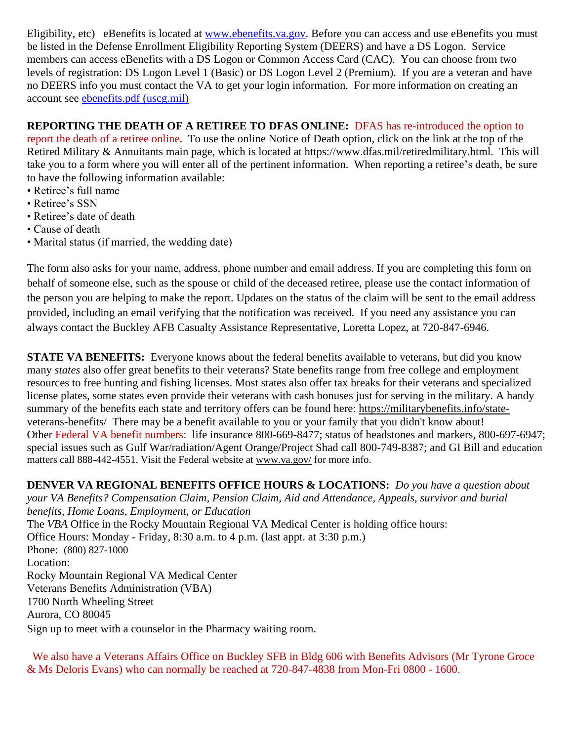Eligibility, etc) eBenefits is located at [www.ebenefits.va.gov.](http://www.ebenefits.va.gov/) Before you can access and use eBenefits you must be listed in the Defense Enrollment Eligibility Reporting System (DEERS) and have a DS Logon. Service members can access eBenefits with a DS Logon or Common Access Card (CAC). You can choose from two levels of registration: DS Logon Level 1 (Basic) or DS Logon Level 2 (Premium). If you are a veteran and have no DEERS info you must contact the VA to get your login information. For more information on creating an account see [ebenefits.pdf \(uscg.mil\)](https://www.dcms.uscg.mil/Portals/10/CG-1/cg111/docs/TAP/ebenefits.pdf?ver=2017-03-06-144849-590)

# **REPORTING THE DEATH OF A RETIREE TO DFAS ONLINE:** DFAS has re-introduced the option to

report the death of a retiree online. To use the online Notice of Death option, click on the link at the top of the Retired Military & Annuitants main page, which is located at https://www.dfas.mil/retiredmilitary.html. This will take you to a form where you will enter all of the pertinent information. When reporting a retiree's death, be sure to have the following information available:

- Retiree's full name
- Retiree's SSN
- Retiree's date of death
- Cause of death
- Marital status (if married, the wedding date)

The form also asks for your name, address, phone number and email address. If you are completing this form on behalf of someone else, such as the spouse or child of the deceased retiree, please use the contact information of the person you are helping to make the report. Updates on the status of the claim will be sent to the email address provided, including an email verifying that the notification was received. If you need any assistance you can always contact the Buckley AFB Casualty Assistance Representative, Loretta Lopez, at 720-847-6946.

**STATE VA BENEFITS:** Everyone knows about the federal benefits available to veterans, but did you know many *states* also offer great benefits to their veterans? State benefits range from free college and employment resources to free hunting and fishing licenses. Most states also offer tax breaks for their veterans and specialized license plates, some states even provide their veterans with cash bonuses just for serving in the military. A handy summary of the benefits each state and territory offers can be found here: [https://militarybenefits.info/state](https://militarybenefits.info/state-veterans-benefits/)[veterans-benefits/](https://militarybenefits.info/state-veterans-benefits/) There may be a benefit available to you or your family that you didn't know about! Other Federal VA benefit numbers: life insurance 800-669-8477; status of headstones and markers, 800-697-6947; special issues such as Gulf War/radiation/Agent Orange/Project Shad call 800-749-8387; and GI Bill and education matters call 888-442-4551. Visit the Federal website at [www.va.gov/](http://www.va.gov/) for more info.

**DENVER VA REGIONAL BENEFITS OFFICE HOURS & LOCATIONS:** *Do you have a question about your VA Benefits? Compensation Claim, Pension Claim, Aid and Attendance, Appeals, survivor and burial benefits, Home Loans, Employment, or Education*  The *VBA* Office in the Rocky Mountain Regional VA Medical Center is holding office hours: Office Hours: Monday - Friday, 8:30 a.m. to 4 p.m. (last appt. at 3:30 p.m.) Phone: [\(800\) 827-1000](https://www.google.com/search?source=hp&ei=1bIFXOnJLePk8APkxJfIDw&q=denver+va+regional+benefits+office+phone+number&oq=Denver+va+regional+benef&gs_l=psy-ab.1.1.0i22i30l4.1057.7073..9944...0.0..0.148.2902.2j23......0....1..gws-wiz.....0..0j0i131j0i10.2DXy9-Yewu0) Location: Rocky Mountain Regional VA Medical Center Veterans Benefits Administration (VBA) 1700 North Wheeling Street Aurora, CO 80045 Sign up to meet with a counselor in the Pharmacy waiting room.

 We also have a Veterans Affairs Office on Buckley SFB in Bldg 606 with Benefits Advisors (Mr Tyrone Groce & Ms Deloris Evans) who can normally be reached at 720-847-4838 from Mon-Fri 0800 - 1600.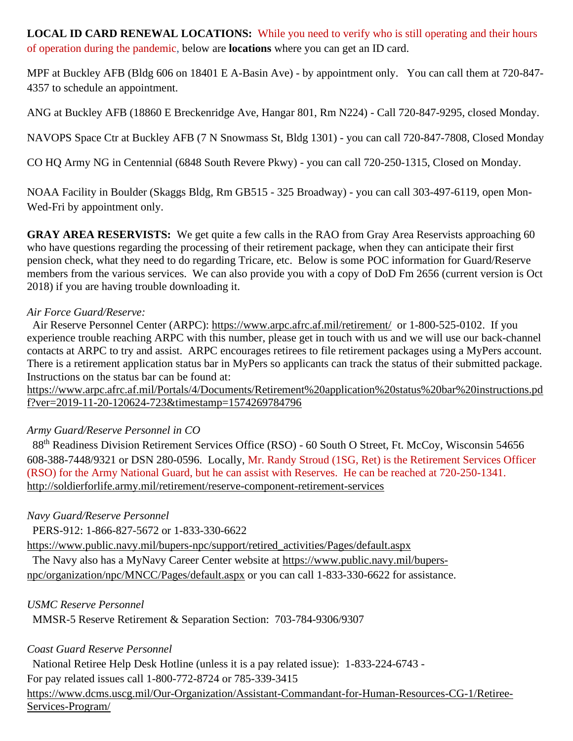**LOCAL ID CARD RENEWAL LOCATIONS:** While you need to verify who is still operating and their hours of operation during the pandemic, below are **locations** where you can get an ID card.

MPF at Buckley AFB (Bldg 606 on 18401 E A-Basin Ave) - by appointment only. You can call them at 720-847- 4357 to schedule an appointment.

ANG at Buckley AFB (18860 E Breckenridge Ave, Hangar 801, Rm N224) - Call 720-847-9295, closed Monday.

NAVOPS Space Ctr at Buckley AFB (7 N Snowmass St, Bldg 1301) - you can call 720-847-7808, Closed Monday

CO HQ Army NG in Centennial (6848 South Revere Pkwy) - you can call 720-250-1315, Closed on Monday.

NOAA Facility in Boulder (Skaggs Bldg, Rm GB515 - 325 Broadway) - you can call 303-497-6119, open Mon-Wed-Fri by appointment only.

**GRAY AREA RESERVISTS:** We get quite a few calls in the RAO from Gray Area Reservists approaching 60 who have questions regarding the processing of their retirement package, when they can anticipate their first pension check, what they need to do regarding Tricare, etc. Below is some POC information for Guard/Reserve members from the various services. We can also provide you with a copy of DoD Fm 2656 (current version is Oct 2018) if you are having trouble downloading it.

### *Air Force Guard/Reserve:*

 Air Reserve Personnel Center (ARPC): https://www.arpc.afrc.af.mil/retirement/ or 1-800-525-0102. If you experience trouble reaching ARPC with this number, please get in touch with us and we will use our back-channel contacts at ARPC to try and assist. ARPC encourages retirees to file retirement packages using a MyPers account. There is a retirement application status bar in MyPers so applicants can track the status of their submitted package. Instructions on the status bar can be found at:

https://www.arpc.afrc.af.mil/Portals/4/Documents/Retirement%20application%20status%20bar%20instructions.pd f?ver=2019-11-20-120624-723&timestamp=1574269784796

## *Army Guard/Reserve Personnel in CO*

88<sup>th</sup> Readiness Division Retirement Services Office (RSO) - 60 South O Street, Ft. McCoy, Wisconsin 54656 608-388-7448/9321 or DSN 280-0596. Locally, Mr. Randy Stroud (1SG, Ret) is the Retirement Services Officer (RSO) for the Army National Guard, but he can assist with Reserves. He can be reached at 720-250-1341. http://soldierforlife.army.mil/retirement/reserve-component-retirement-services

## *Navy Guard/Reserve Personnel*

PERS-912: 1-866-827-5672 or 1-833-330-6622

https://www.public.navy.mil/bupers-npc/support/retired\_activities/Pages/default.aspx

The Navy also has a MyNavy Career Center website at https://www.public.navy.mil/bupers-

npc/organization/npc/MNCC/Pages/default.aspx or you can call 1-833-330-6622 for assistance.

### *USMC Reserve Personnel*

MMSR-5 Reserve Retirement & Separation Section: 703-784-9306/9307

## *Coast Guard Reserve Personnel*

National Retiree Help Desk Hotline (unless it is a pay related issue): 1-833-224-6743 -

For pay related issues call 1-800-772-8724 or 785-339-3415

https://www.dcms.uscg.mil/Our-Organization/Assistant-Commandant-for-Human-Resources-CG-1/Retiree-Services-Program/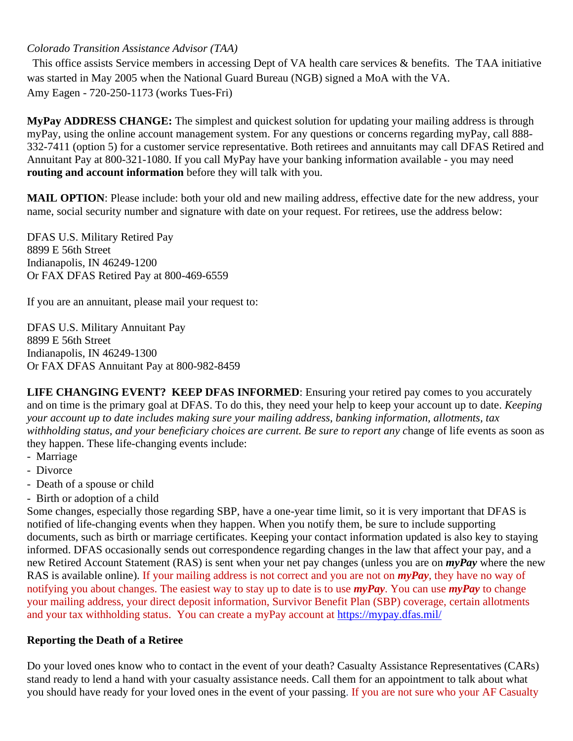### *Colorado Transition Assistance Advisor (TAA)*

 This office assists Service members in accessing Dept of VA health care services & benefits. The TAA initiative was started in May 2005 when the National Guard Bureau (NGB) signed a MoA with the VA. Amy Eagen - 720-250-1173 (works Tues-Fri)

**MyPay ADDRESS CHANGE:** The simplest and quickest solution for updating your mailing address is through myPay, using the online account management system. For any questions or concerns regarding myPay, call 888- 332-7411 (option 5) for a customer service representative. Both retirees and annuitants may call DFAS Retired and Annuitant Pay at 800-321-1080. If you call MyPay have your banking information available - you may need **routing and account information** before they will talk with you.

**MAIL OPTION**: Please include: both your old and new mailing address, effective date for the new address, your name, social security number and signature with date on your request. For retirees, use the address below:

DFAS U.S. Military Retired Pay 8899 E 56th Street Indianapolis, IN 46249-1200 Or FAX DFAS Retired Pay at 800-469-6559

If you are an annuitant, please mail your request to:

DFAS U.S. Military Annuitant Pay 8899 E 56th Street Indianapolis, IN 46249-1300 Or FAX DFAS Annuitant Pay at 800-982-8459

**LIFE CHANGING EVENT? KEEP DFAS INFORMED**: Ensuring your retired pay comes to you accurately and on time is the primary goal at DFAS. To do this, they need your help to keep your account up to date. *Keeping your account up to date includes making sure your mailing address, banking information, allotments, tax withholding status, and your beneficiary choices are current. Be sure to report any c*hange of life events as soon as they happen. These life-changing events include:

- Marriage
- Divorce
- Death of a spouse or child
- Birth or adoption of a child

Some changes, especially those regarding SBP, have a one-year time limit, so it is very important that DFAS is notified of life-changing events when they happen. When you notify them, be sure to include supporting documents, such as birth or marriage certificates. Keeping your contact information updated is also key to staying informed. DFAS occasionally sends out correspondence regarding changes in the law that affect your pay, and a new Retired Account Statement (RAS) is sent when your net pay changes (unless you are on *myPay* where the new RAS is available online). If your mailing address is not correct and you are not on *myPay*, they have no way of notifying you about changes. The easiest way to stay up to date is to use *myPay*. You can use *myPay* to change your mailing address, your direct deposit information, Survivor Benefit Plan (SBP) coverage, certain allotments and your tax withholding status. You can create a myPay account at https://mypay.dfas.mil/

## **Reporting the Death of a Retiree**

Do your loved ones know who to contact in the event of your death? Casualty Assistance Representatives (CARs) stand ready to lend a hand with your casualty assistance needs. Call them for an appointment to talk about what you should have ready for your loved ones in the event of your passing. If you are not sure who your AF Casualty